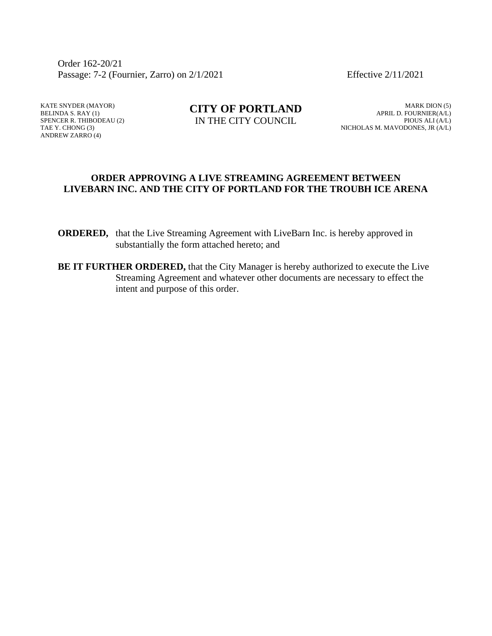Order 162-20/21 Passage: 7-2 (Fournier, Zarro) on 2/1/2021 Effective 2/11/2021

KATE SNYDER (MAYOR) BELINDA S. RAY (1) SPENCER R. THIBODEAU (2) TAE Y. CHONG (3) ANDREW ZARRO (4)

**CITY OF PORTLAND** IN THE CITY COUNCIL

MARK DION (5) APRIL D. FOURNIER(A/L) PIOUS ALI (A/L) NICHOLAS M. MAVODONES, JR (A/L)

### **ORDER APPROVING A LIVE STREAMING AGREEMENT BETWEEN LIVEBARN INC. AND THE CITY OF PORTLAND FOR THE TROUBH ICE ARENA**

**ORDERED,** that the Live Streaming Agreement with LiveBarn Inc. is hereby approved in substantially the form attached hereto; and

**BE IT FURTHER ORDERED,** that the City Manager is hereby authorized to execute the Live Streaming Agreement and whatever other documents are necessary to effect the intent and purpose of this order.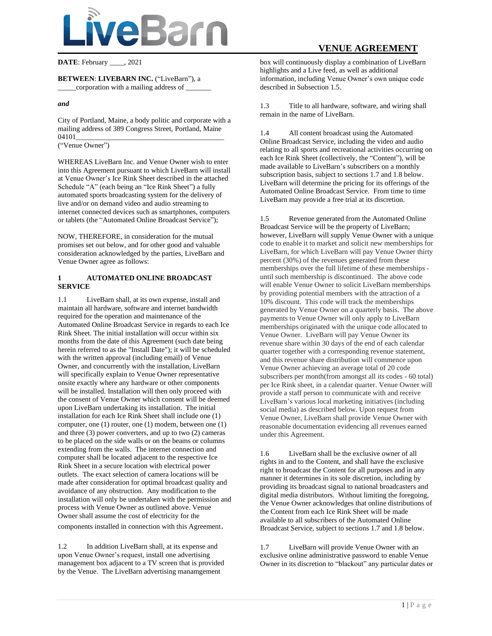

### **DATE**: February \_\_\_\_, 2021

**BETWEEN**: **LIVEBARN INC.** ("LiveBarn"), a

\_\_\_\_\_corporation with a mailing address of \_\_\_\_\_\_\_

#### *and*

City of Portland, Maine, a body politic and corporate with a mailing address of 389 Congress Street, Portland, Maine 04101

("Venue Owner")

WHEREAS LiveBarn Inc. and Venue Owner wish to enter into this Agreement pursuant to which LiveBarn will install at Venue Owner's Ice Rink Sheet described in the attached Schedule "A" (each being an "Ice Rink Sheet") a fully automated sports broadcasting system for the delivery of live and/or on demand video and audio streaming to internet connected devices such as smartphones, computers or tablets (the "Automated Online Broadcast Service");

NOW, THEREFORE, in consideration for the mutual promises set out below, and for other good and valuable consideration acknowledged by the parties, LiveBarn and Venue Owner agree as follows:

#### **1 AUTOMATED ONLINE BROADCAST SERVICE**

1.1 LiveBarn shall, at its own expense, install and maintain all hardware, software and internet bandwidth required for the operation and maintenance of the Automated Online Broadcast Service in regards to each Ice Rink Sheet. The initial installation will occur within six months from the date of this Agreement (such date being herein referred to as the "Install Date"); it will be scheduled with the written approval (including email) of Venue Owner, and concurrently with the installation, LiveBarn will specifically explain to Venue Owner representative onsite exactly where any hardware or other components will be installed. Installation will then only proceed with the consent of Venue Owner which consent will be deemed upon LiveBarn undertaking its installation. The initial installation for each Ice Rink Sheet shall include one (1) computer, one (1) router, one (1) modem, between one (1) and three (3) power converters, and up to two (2) cameras to be placed on the side walls or on the beams or columns extending from the walls. The internet connection and computer shall be located adjacent to the respective Ice Rink Sheet in a secure location with electrical power outlets. The exact selection of camera locations will be made after consideration for optimal broadcast quality and avoidance of any obstruction. Any modification to the installation will only be undertaken with the permission and process with Venue Owner as outlined above. Venue Owner shall assume the cost of electricity for the

components installed in connection with this Agreement.

1.2 In addition LiveBarn shall, at its expense and upon Venue Owner's request, install one advertising management box adjacent to a TV screen that is provided by the Venue. The LiveBarn advertising manamgement

box will continuously display a combination of LiveBarn highlights and a Live feed, as well as additional information, including Venue Owner's own unique code described in Subsection 1.5.

1.3 Title to all hardware, software, and wiring shall remain in the name of LiveBarn.

1.4 All content broadcast using the Automated Online Broadcast Service, including the video and audio relating to all sports and recreational activities occurring on each Ice Rink Sheet (collectively, the "Content"), will be made available to LiveBarn's subscribers on a monthly subscription basis, subject to sections 1.7 and 1.8 below. LiveBarn will determine the pricing for its offerings of the Automated Online Broadcast Service. From time to time LiveBarn may provide a free trial at its discretion.

1.5 Revenue generated from the Automated Online Broadcast Service will be the property of LiveBarn; however, LiveBarn will supply Venue Owner with a unique code to enable it to market and solicit new memberships for LiveBarn, for which LiveBarn will pay Venue Owner thirty percent (30%) of the revenues generated from these memberships over the full lifetime of these memberships until such membership is discontinued. The above code will enable Venue Owner to solicit LiveBarn memberships by providing potential members with the attraction of a 10% discount. This code will track the memberships generated by Venue Owner on a quarterly basis. The above payments to Venue Owner will only apply to LiveBarn memberships originated with the unique code allocated to Venue Owner. LiveBarn will pay Venue Owner its revenue share within 30 days of the end of each calendar quarter together with a corresponding revenue statement, and this revenue share distribution will commence upon Venue Owner achieving an average total of 20 code subscribers per month(from amongst all its codes - 60 total) per Ice Rink sheet, in a calendar quarter. Venue Owner will provide a staff person to communicate with and receive LiveBarn's various local marketing initiatives (including social media) as described below. Upon request from Venue Owner, LiveBarn shall provide Venue Owner with reasonable documentation evidencing all revenues earned under this Agreement.

1.6 LiveBarn shall be the exclusive owner of all rights in and to the Content, and shall have the exclusive right to broadcast the Content for all purposes and in any manner it determines in its sole discretion, including by providing its broadcast signal to national broadcasters and digital media distributors. Without limiting the foregoing, the Venue Owner acknowledges that online distributions of the Content from each Ice Rink Sheet will be made available to all subscribers of the Automated Online Broadcast Service, subject to sections 1.7 and 1.8 below.

1.7 LiveBarn will provide Venue Owner with an exclusive online administrative password to enable Venue Owner in its discretion to "blackout" any particular dates or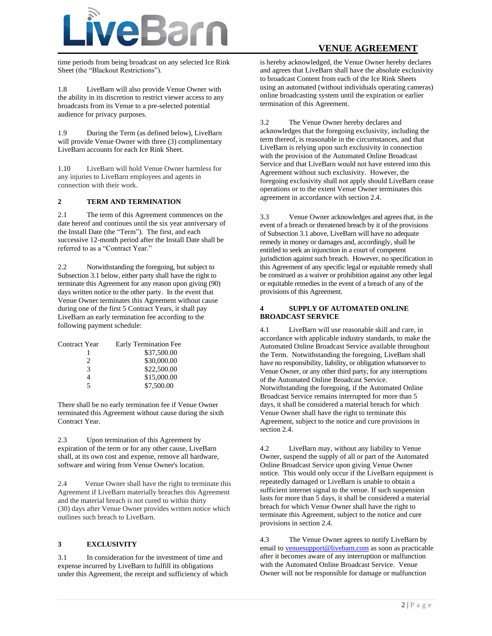

time periods from being broadcast on any selected Ice Rink Sheet (the "Blackout Restrictions").

1.8 LiveBarn will also provide Venue Owner with the ability in its discretion to restrict viewer access to any broadcasts from its Venue to a pre-selected potential audience for privacy purposes.

1.9 During the Term (as defined below), LiveBarn will provide Venue Owner with three (3) complimentary LiveBarn accounts for each Ice Rink Sheet.

1.10 LiveBarn will hold Venue Owner harmless for any injuries to LiveBarn employees and agents in connection with their work.

#### **2 TERM AND TERMINATION**

2.1 The term of this Agreement commences on the date hereof and continues until the six year anniversary of the Install Date (the "Term"). The first, and each successive 12-month period after the Install Date shall be referred to as a "Contract Year."

2.2 Notwithstanding the foregoing, but subject to Subsection 3.1 below, either party shall have the right to terminate this Agreement for any reason upon giving (90) days written notice to the other party. In the event that Venue Owner terminates this Agreement without cause during one of the first 5 Contract Years, it shall pay LiveBarn an early termination fee according to the following payment schedule:

| Contract Year | <b>Early Termination Fee</b> |
|---------------|------------------------------|
|               | \$37,500.00                  |
| 2             | \$30,000.00                  |
| 3             | \$22,500.00                  |
|               | \$15,000.00                  |
| 5             | \$7,500.00                   |
|               |                              |

There shall be no early termination fee if Venue Owner terminated this Agreement without cause during the sixth Contract Year.

2.3 Upon termination of this Agreement by expiration of the term or for any other cause, LiveBarn shall, at its own cost and expense, remove all hardware, software and wiring from Venue Owner's location.

2.4 Venue Owner shall have the right to terminate this Agreement if LiveBarn materially breaches this Agreement and the material breach is not cured to within thirty (30) days after Venue Owner provides written notice which outlines such breach to LiveBarn.

#### **3 EXCLUSIVITY**

3.1 In consideration for the investment of time and expense incurred by LiveBarn to fulfill its obligations under this Agreement, the receipt and sufficiency of which is hereby acknowledged, the Venue Owner hereby declares and agrees that LiveBarn shall have the absolute exclusivity to broadcast Content from each of the Ice Rink Sheets using an automated (without individuals operating cameras) online broadcasting system until the expiration or earlier termination of this Agreement.

3.2 The Venue Owner hereby declares and acknowledges that the foregoing exclusivity, including the term thereof, is reasonable in the circumstances, and that LiveBarn is relying upon such exclusivity in connection with the provision of the Automated Online Broadcast Service and that LiveBarn would not have entered into this Agreement without such exclusivity. However, the foregoing exclusivity shall not apply should LiveBarn cease operations or to the extent Venue Owner terminates this agreement in accordance with section 2.4.

3.3 Venue Owner acknowledges and agrees that, in the event of a breach or threatened breach by it of the provisions of Subsection 3.1 above, LiveBarn will have no adequate remedy in money or damages and, accordingly, shall be entitled to seek an injunction in a court of competent jurisdiction against such breach. However, no specification in this Agreement of any specific legal or equitable remedy shall be construed as a waiver or prohibition against any other legal or equitable remedies in the event of a breach of any of the provisions of this Agreement.

#### **4 SUPPLY OF AUTOMATED ONLINE BROADCAST SERVICE**

4.1 LiveBarn will use reasonable skill and care, in accordance with applicable industry standards, to make the Automated Online Broadcast Service available throughout the Term. Notwithstanding the foregoing, LiveBarn shall have no responsibility, liability, or obligation whatsoever to Venue Owner, or any other third party, for any interruptions of the Automated Online Broadcast Service. Notwithstanding the foregoing, if the Automated Online Broadcast Service remains interrupted for more than 5 days, it shall be considered a material breach for which Venue Owner shall have the right to terminate this Agreement, subject to the notice and cure provisions in section 2.4.

4.2 LiveBarn may, without any liability to Venue Owner, suspend the supply of all or part of the Automated Online Broadcast Service upon giving Venue Owner notice. This would only occur if the LiveBarn equipment is repeatedly damaged or LiveBarn is unable to obtain a sufficient internet signal to the venue. If such suspension lasts for more than 5 days, it shall be considered a material breach for which Venue Owner shall have the right to terminate this Agreement, subject to the notice and cure provisions in section 2.4.

4.3 The Venue Owner agrees to notify LiveBarn by email to [venuesupport@livebarn.com](mailto:venuesupport@livebarn.com) as soon as practicable after it becomes aware of any interruption or malfunction with the Automated Online Broadcast Service. Venue Owner will not be responsible for damage or malfunction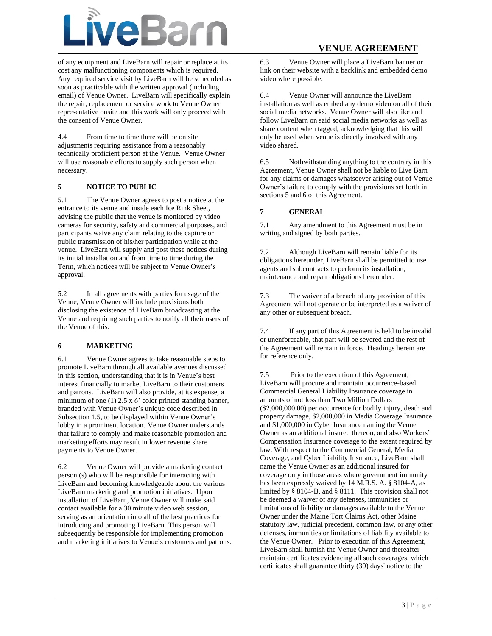

of any equipment and LiveBarn will repair or replace at its cost any malfunctioning components which is required. Any required service visit by LiveBarn will be scheduled as soon as practicable with the written approval (including email) of Venue Owner. LiveBarn will specifically explain the repair, replacement or service work to Venue Owner representative onsite and this work will only proceed with the consent of Venue Owner.

4.4 From time to time there will be on site adjustments requiring assistance from a reasonably technically proficient person at the Venue. Venue Owner will use reasonable efforts to supply such person when necessary.

#### **5 NOTICE TO PUBLIC**

5.1 The Venue Owner agrees to post a notice at the entrance to its venue and inside each Ice Rink Sheet, advising the public that the venue is monitored by video cameras for security, safety and commercial purposes, and participants waive any claim relating to the capture or public transmission of his/her participation while at the venue. LiveBarn will supply and post these notices during its initial installation and from time to time during the Term, which notices will be subject to Venue Owner's approval.

5.2 In all agreements with parties for usage of the Venue, Venue Owner will include provisions both disclosing the existence of LiveBarn broadcasting at the Venue and requiring such parties to notify all their users of the Venue of this.

#### **6 MARKETING**

6.1 Venue Owner agrees to take reasonable steps to promote LiveBarn through all available avenues discussed in this section, understanding that it is in Venue's best interest financially to market LiveBarn to their customers and patrons. LiveBarn will also provide, at its expense, a minimum of one (1) 2.5 x 6' color printed standing banner, branded with Venue Owner's unique code described in Subsection 1.5, to be displayed within Venue Owner's lobby in a prominent location. Venue Owner understands that failure to comply and make reasonable promotion and marketing efforts may result in lower revenue share payments to Venue Owner.

6.2 Venue Owner will provide a marketing contact person (s) who will be responsible for interacting with LiveBarn and becoming knowledgeable about the various LiveBarn marketing and promotion initiatives. Upon installation of LiveBarn, Venue Owner will make said contact available for a 30 minute video web session, serving as an orientation into all of the best practices for introducing and promoting LiveBarn. This person will subsequently be responsible for implementing promotion and marketing initiatives to Venue's customers and patrons.

6.3 Venue Owner will place a LiveBarn banner or link on their website with a backlink and embedded demo video where possible.

6.4 Venue Owner will announce the LiveBarn installation as well as embed any demo video on all of their social media networks. Venue Owner will also like and follow LiveBarn on said social media networks as well as share content when tagged, acknowledging that this will only be used when venue is directly involved with any video shared.

6.5 Nothwithstanding anything to the contrary in this Agreement, Venue Owner shall not be liable to Live Barn for any claims or damages whatsoever arising out of Venue Owner's failure to comply with the provisions set forth in sections 5 and 6 of this Agreement.

#### **7 GENERAL**

7.1 Any amendment to this Agreement must be in writing and signed by both parties.

7.2 Although LiveBarn will remain liable for its obligations hereunder, LiveBarn shall be permitted to use agents and subcontracts to perform its installation, maintenance and repair obligations hereunder.

7.3 The waiver of a breach of any provision of this Agreement will not operate or be interpreted as a waiver of any other or subsequent breach.

7.4 If any part of this Agreement is held to be invalid or unenforceable, that part will be severed and the rest of the Agreement will remain in force. Headings herein are for reference only.

7.5 Prior to the execution of this Agreement, LiveBarn will procure and maintain occurrence-based Commercial General Liability Insurance coverage in amounts of not less than Two Million Dollars (\$2,000,000.00) per occurrence for bodily injury, death and property damage, \$2,000,000 in Media Coverage Insurance and \$1,000,000 in Cyber Insurance naming the Venue Owner as an additional insured thereon, and also Workers' Compensation Insurance coverage to the extent required by law. With respect to the Commercial General, Media Coverage, and Cyber Liability Insurance, LiveBarn shall name the Venue Owner as an additional insured for coverage only in those areas where government immunity has been expressly waived by 14 M.R.S. A. § 8104-A, as limited by § 8104-B, and § 8111. This provision shall not be deemed a waiver of any defenses, immunities or limitations of liability or damages available to the Venue Owner under the Maine Tort Claims Act, other Maine statutory law, judicial precedent, common law, or any other defenses, immunities or limitations of liability available to the Venue Owner. Prior to execution of this Agreement, LiveBarn shall furnish the Venue Owner and thereafter maintain certificates evidencing all such coverages, which certificates shall guarantee thirty (30) days' notice to the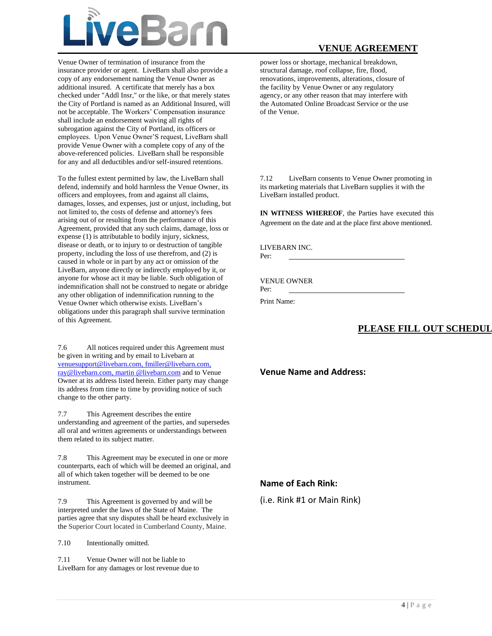

Venue Owner of termination of insurance from the insurance provider or agent. LiveBarn shall also provide a copy of any endorsement naming the Venue Owner as additional insured. A certificate that merely has a box checked under "Addl Insr," or the like, or that merely states the City of Portland is named as an Additional Insured, will not be acceptable. The Workers' Compensation insurance shall include an endorsement waiving all rights of subrogation against the City of Portland, its officers or employees. Upon Venue Owner'S request, LiveBarn shall provide Venue Owner with a complete copy of any of the above-referenced policies. LiveBarn shall be responsible for any and all deductibles and/or self-insured retentions.

To the fullest extent permitted by law, the LiveBarn shall defend, indemnify and hold harmless the Venue Owner, its officers and employees, from and against all claims, damages, losses, and expenses, just or unjust, including, but not limited to, the costs of defense and attorney's fees arising out of or resulting from the performance of this Agreement, provided that any such claims, damage, loss or expense (1) is attributable to bodily injury, sickness, disease or death, or to injury to or destruction of tangible property, including the loss of use therefrom, and (2) is caused in whole or in part by any act or omission of the LiveBarn, anyone directly or indirectly employed by it, or anyone for whose act it may be liable. Such obligation of indemnification shall not be construed to negate or abridge any other obligation of indemnification running to the Venue Owner which otherwise exists. LiveBarn's obligations under this paragraph shall survive termination of this Agreement.

7.6 All notices required under this Agreement must be given in writing and by email to Livebarn at [venuesupport@livebarn.com,](mailto:venuesupport@livebarn.com) [fmiller@livebarn.com,](mailto:fmiller@livebarn.com)  [ray@livebarn.com,](mailto:ray@livebarn.com) martin @livebarn.com and to Venue Owner at its address listed herein. Either party may change its address from time to time by providing notice of such change to the other party.

7.7 This Agreement describes the entire understanding and agreement of the parties, and supersedes all oral and written agreements or understandings between them related to its subject matter.

7.8 This Agreement may be executed in one or more counterparts, each of which will be deemed an original, and all of which taken together will be deemed to be one instrument.

7.9 This Agreement is governed by and will be interpreted under the laws of the State of Maine. The parties agree that sny disputes shall be heard exclusively in the Superior Court located in Cumberland County, Maine.

7.10 Intentionally omitted.

7.11 Venue Owner will not be liable to LiveBarn for any damages or lost revenue due to

## **VENUE AGREEMENT**

power loss or shortage, mechanical breakdown, structural damage, roof collapse, fire, flood, renovations, improvements, alterations, closure of the facility by Venue Owner or any regulatory agency, or any other reason that may interfere with the Automated Online Broadcast Service or the use of the Venue.

7.12 LiveBarn consents to Venue Owner promoting in its marketing materials that LiveBarn supplies it with the LiveBarn installed product.

**IN WITNESS WHEREOF**, the Parties have executed this Agreement on the date and at the place first above mentioned.

LIVEBARN INC.

Per:

VENUE OWNER

Per:

Print Name:

# **PLEASE FILL OUT SCHEDUL**

**Venue Name and Address:**

### **Name of Each Rink:**

(i.e. Rink #1 or Main Rink)